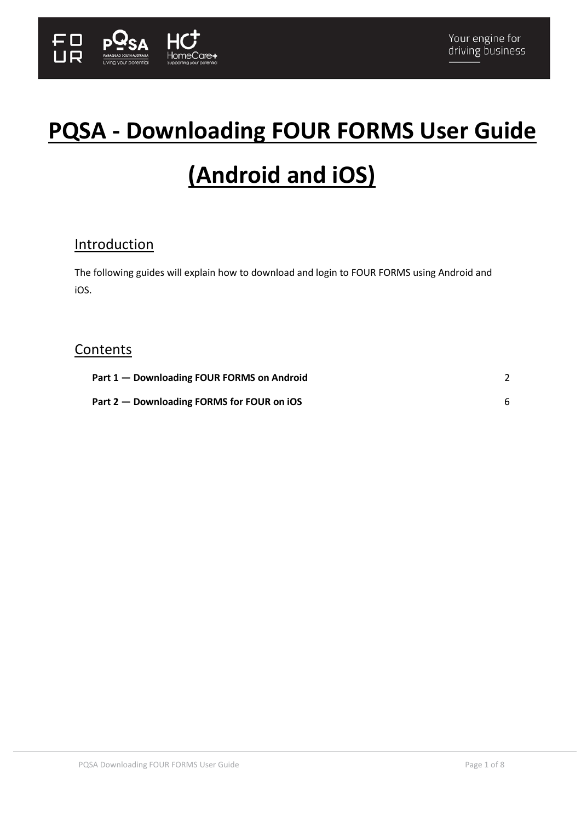

# **PQSA - Downloading FOUR FORMS User Guide**

# **(Android and iOS)**

# **Introduction**

The following guides will explain how to download and login to FOUR FORMS using Android and iOS.

# **Contents**

| Part 1 – Downloading FOUR FORMS on Android |  |
|--------------------------------------------|--|
| Part 2 – Downloading FORMS for FOUR on iOS |  |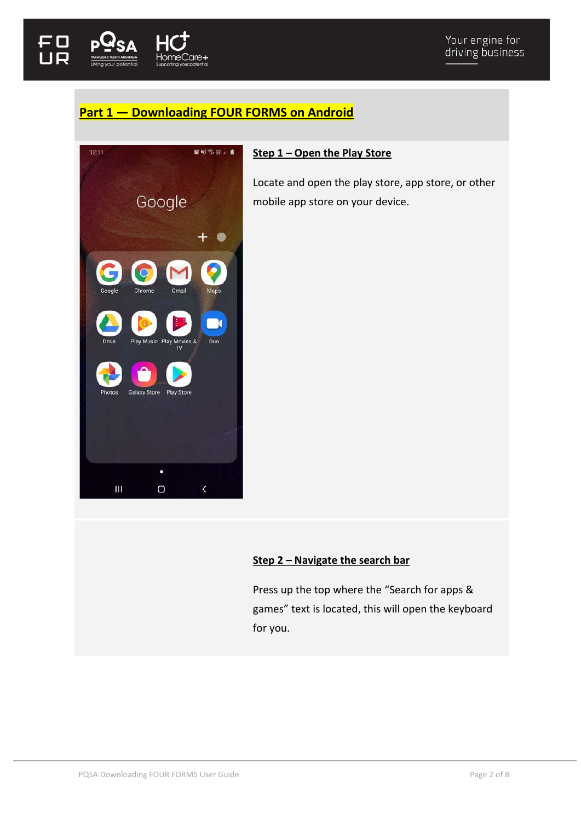

# <span id="page-1-0"></span>**Part 1 — Downloading FOUR FORMS on Android**



# **Step 1 – Open the Play Store**

Locate and open the play store, app store, or other mobile app store on your device.

# **Step 2 – Navigate the search bar**

Press up the top where the "Search for apps & games" text is located, this will open the keyboard for you.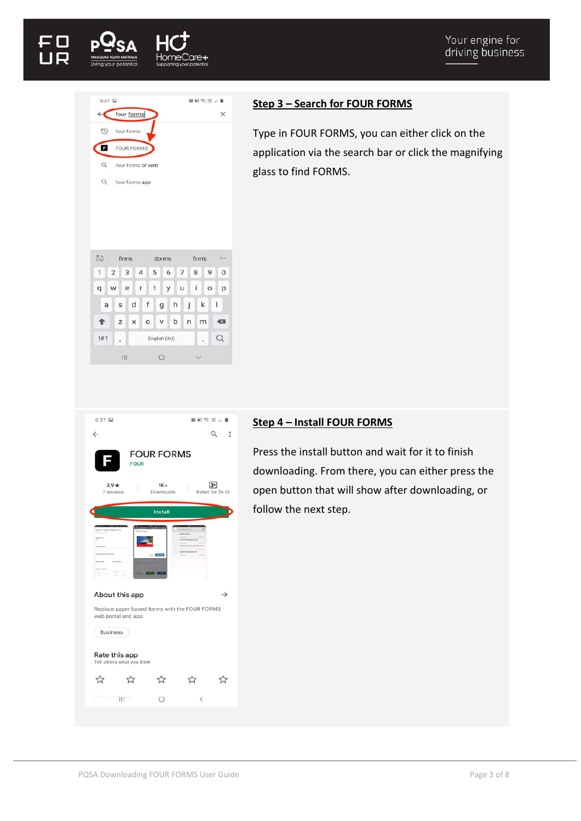



## **Step 3 – Search for FOUR FORMS**

Type in FOUR FORMS, you can either click on the application via the search bar or click the magnifying glass to find FORMS.

| 9:37 国                                                                                  |                     |   | 30 42 % 深山 ■           |
|-----------------------------------------------------------------------------------------|---------------------|---|------------------------|
| $\leftarrow$                                                                            |                     |   | Q<br>÷                 |
| <b>FOUR</b>                                                                             | <b>FOUR FORMS</b>   |   |                        |
| $3.9*$<br>7 reviews                                                                     | $1K +$<br>Downloads |   | $3+$<br>Rated for 3+ O |
|                                                                                         | <b>Install</b>      |   |                        |
|                                                                                         |                     |   |                        |
| About this app                                                                          |                     |   | →                      |
| Replace paper based forms with the FOUR FORMS<br>web portal and app.<br><b>Business</b> |                     |   |                        |
| Rate this app<br>Tell others what you think                                             |                     |   |                        |
| ☆<br>53                                                                                 |                     |   | 5.7                    |
| Write a reppew                                                                          |                     | L |                        |

## **Step 4 – Install FOUR FORMS**

Press the install button and wait for it to finish downloading. From there, you can either press the open button that will show after downloading, or follow the next step.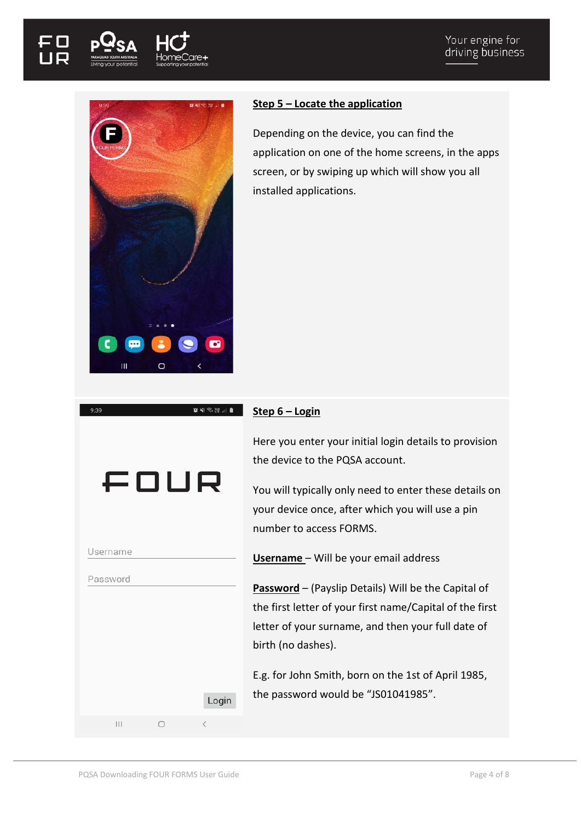



## **Step 5 – Locate the application**

Depending on the device, you can find the application on one of the home screens, in the apps screen, or by swiping up which will show you all installed applications.

## **Step 6 – Login**

 $\begin{array}{lll} \textbf{1} & \textbf{1}_{11} & \textbf{1}_{12} & \textbf{1}_{13} & \textbf{1}_{14} \\ \textbf{1} & \textbf{1}_{11} & \textbf{1}_{12} & \textbf{1}_{13} & \textbf{1}_{14} \\ \textbf{1} & \textbf{1}_{12} & \textbf{1}_{13} & \textbf{1}_{14} & \textbf{1}_{15} \\ \textbf{1} & \textbf{1}_{13} & \textbf{1}_{14} & \textbf{1}_{15} & \textbf{1}_{16} \\ \textbf{1} & \textbf{1}_{13} & \textbf{1}_{1$ 

Here you enter your initial login details to provision the device to the PQSA account.

You will typically only need to enter these details on your device once, after which you will use a pin number to access FORMS.

**Username** – Will be your email address

**Password** – (Payslip Details) Will be the Capital of the first letter of your first name/Capital of the first letter of your surname, and then your full date of birth (no dashes).

E.g. for John Smith, born on the 1st of April 1985, the password would be "JS01041985".

| Password      |       |
|---------------|-------|
|               |       |
|               |       |
|               |       |
|               |       |
|               |       |
|               |       |
|               |       |
|               | Logir |
|               |       |
| $\mathbf{  }$ |       |

Username

FOUR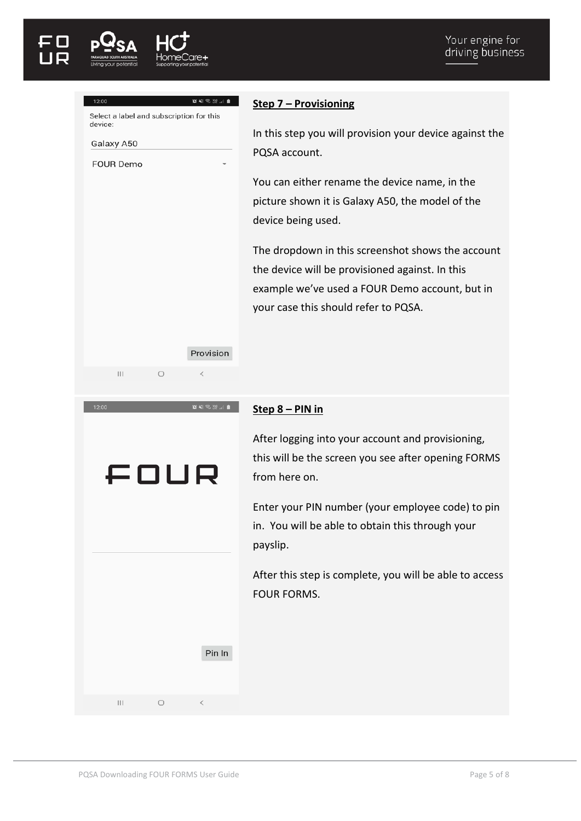| 12:00                                               |            | <b>XNSXJB</b>            |
|-----------------------------------------------------|------------|--------------------------|
| Select a label and subscription for this<br>device: |            |                          |
| Galaxy A50                                          |            |                          |
| <b>FOUR Demo</b>                                    |            |                          |
|                                                     |            |                          |
|                                                     |            |                          |
|                                                     |            |                          |
|                                                     |            |                          |
|                                                     |            |                          |
|                                                     |            |                          |
|                                                     |            |                          |
|                                                     |            |                          |
|                                                     |            |                          |
|                                                     |            | Provision                |
| $\mathbf{III}$                                      | $\bigcirc$ | $\lt$                    |
|                                                     |            |                          |
| 12:00                                               |            | 90 NE‰Wal <mark>a</mark> |
|                                                     |            |                          |
|                                                     |            |                          |
|                                                     |            | FOUR                     |
|                                                     |            |                          |
|                                                     |            |                          |
|                                                     |            |                          |

# **Step 7 – Provisioning**

In this step you will provision your device against the PQSA account.

You can either rename the device name, in the picture shown it is Galaxy A50, the model of the device being used.

The dropdown in this screenshot shows the account the device will be provisioned against. In this example we've used a FOUR Demo account, but in your case this should refer to PQSA.

#### **Step 8 – PIN in**

After logging into your account and provisioning, this will be the screen you see after opening FORMS from here on.

Enter your PIN number (your employee code) to pin in. You will be able to obtain this through your payslip.

After this step is complete, you will be able to access FOUR FORMS.

|  | <b>Service Control</b> |
|--|------------------------|

 $\mathsf{P}$ 

 $\vert\vert\vert$  $\bigcirc$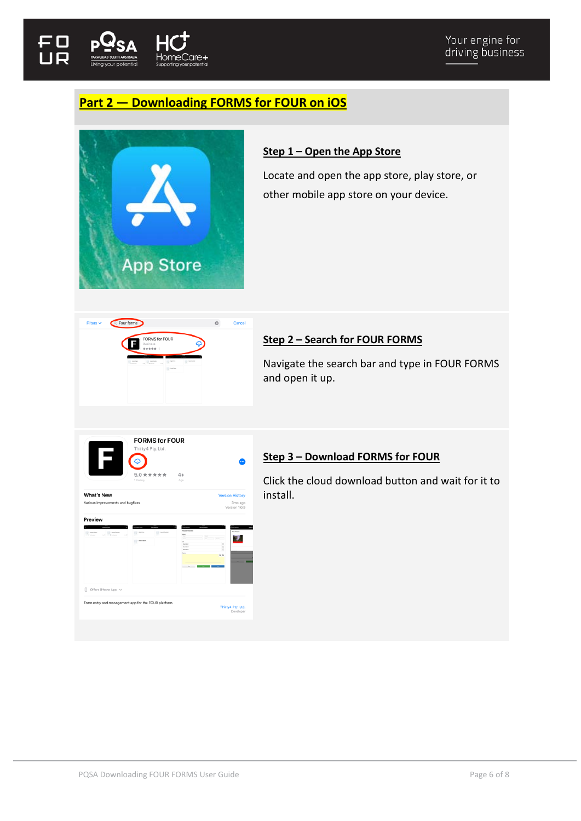

# <span id="page-5-0"></span>**Part 2 — Downloading FORMS for FOUR on iOS**



# **Step 1 – Open the App Store**

Locate and open the app store, play store, or other mobile app store on your device.



# **Step 2 – Search for FOUR FORMS**

Navigate the search bar and type in FOUR FORMS and open it up.

|                                                                                  | $5.0$ * * * * *<br>1 Rating | $4+$<br>Ape                                                                                               |                                                    |
|----------------------------------------------------------------------------------|-----------------------------|-----------------------------------------------------------------------------------------------------------|----------------------------------------------------|
| <b>What's New</b><br>Various improvements and bugfixes                           |                             |                                                                                                           | <b>Version History</b><br>3mo ago<br>Version 1.6.9 |
| Preview<br><b>A</b> Service<br>$\sim$<br><b>Witness</b><br>$\sim$                | <b>SOUTHERN</b>             | <b>Paranti Character</b><br>$\equiv$<br>-<br>$\sim$<br><b>Service</b><br><b>Service</b><br><b>SAFEKEE</b> | ö<br>ó<br>o<br>$x +$                               |
| Π<br>Offers iPhone App V<br>Form entry and management app for the FOUR platform. |                             |                                                                                                           |                                                    |

# **Step 3 – Download FORMS for FOUR**

Click the cloud download button and wait for it to install.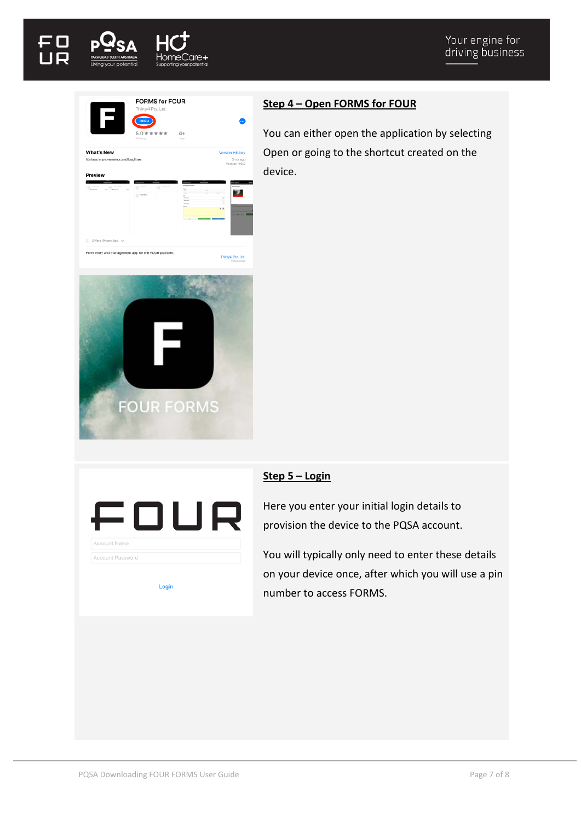





FOUR

Login

Account Name Account Password

# **Step 4 – Open FORMS for FOUR**

You can either open the application by selecting Open or going to the shortcut created on the device.

# **Step 5 – Login**

Here you enter your initial login details to provision the device to the PQSA account.

You will typically only need to enter these details on your device once, after which you will use a pin number to access FORMS.